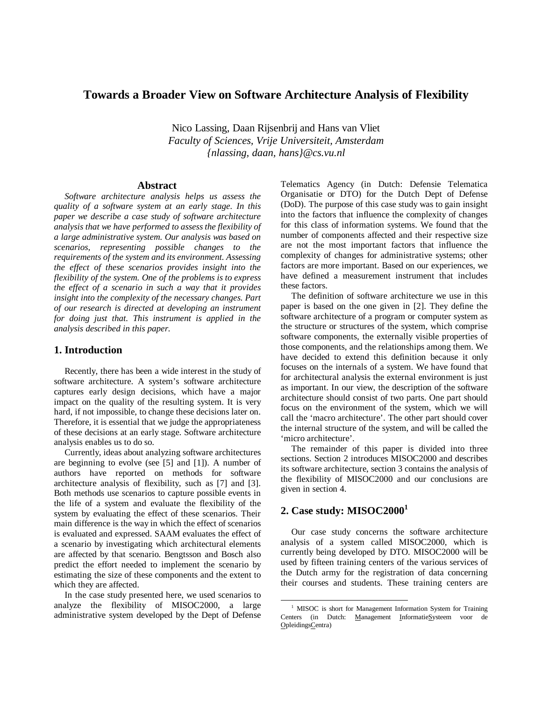# **Towards a Broader View on Software Architecture Analysis of Flexibility**

Nico Lassing, Daan Rijsenbrij and Hans van Vliet *Faculty of Sciences, Vrije Universiteit, Amsterdam {nlassing, daan, hans}@cs.vu.nl* 

### **Abstract**

*Software architecture analysis helps us assess the quality of a software system at an early stage. In this paper we describe a case study of software architecture analysis that we have performed to assess the flexibility of a large administrative system. Our analysis was based on scenarios, representing possible changes to the requirements of the system and its environment. Assessing the effect of these scenarios provides insight into the flexibility of the system. One of the problems is to express the effect of a scenario in such a way that it provides insight into the complexity of the necessary changes. Part of our research is directed at developing an instrument for doing just that. This instrument is applied in the analysis described in this paper.* 

# **1. Introduction**

Recently, there has been a wide interest in the study of software architecture. A system's software architecture captures early design decisions, which have a major impact on the quality of the resulting system. It is very hard, if not impossible, to change these decisions later on. Therefore, it is essential that we judge the appropriateness of these decisions at an early stage. Software architecture analysis enables us to do so.

Currently, ideas about analyzing software architectures are beginning to evolve (see [5] and [1]). A number of authors have reported on methods for software architecture analysis of flexibility, such as [7] and [3]. Both methods use scenarios to capture possible events in the life of a system and evaluate the flexibility of the system by evaluating the effect of these scenarios. Their main difference is the way in which the effect of scenarios is evaluated and expressed. SAAM evaluates the effect of a scenario by investigating which architectural elements are affected by that scenario. Bengtsson and Bosch also predict the effort needed to implement the scenario by estimating the size of these components and the extent to which they are affected.

In the case study presented here, we used scenarios to analyze the flexibility of MISOC2000, a large administrative system developed by the Dept of Defense Telematics Agency (in Dutch: Defensie Telematica Organisatie or DTO) for the Dutch Dept of Defense (DoD). The purpose of this case study was to gain insight into the factors that influence the complexity of changes for this class of information systems. We found that the number of components affected and their respective size are not the most important factors that influence the complexity of changes for administrative systems; other factors are more important. Based on our experiences, we have defined a measurement instrument that includes these factors.

The definition of software architecture we use in this paper is based on the one given in [2]. They define the software architecture of a program or computer system as the structure or structures of the system, which comprise software components, the externally visible properties of those components, and the relationships among them. We have decided to extend this definition because it only focuses on the internals of a system. We have found that for architectural analysis the external environment is just as important. In our view, the description of the software architecture should consist of two parts. One part should focus on the environment of the system, which we will call the 'macro architecture'. The other part should cover the internal structure of the system, and will be called the 'micro architecture'.

The remainder of this paper is divided into three sections. Section 2 introduces MISOC2000 and describes its software architecture, section 3 contains the analysis of the flexibility of MISOC2000 and our conclusions are given in section 4.

# **2. Case study: MISOC2000<sup>1</sup>**

Our case study concerns the software architecture analysis of a system called MISOC2000, which is currently being developed by DTO. MISOC2000 will be used by fifteen training centers of the various services of the Dutch army for the registration of data concerning their courses and students. These training centers are

<sup>&</sup>lt;sup>1</sup> MISOC is short for Management Information System for Training Centers (in Dutch: Management InformatieSysteem voor de OpleidingsCentra)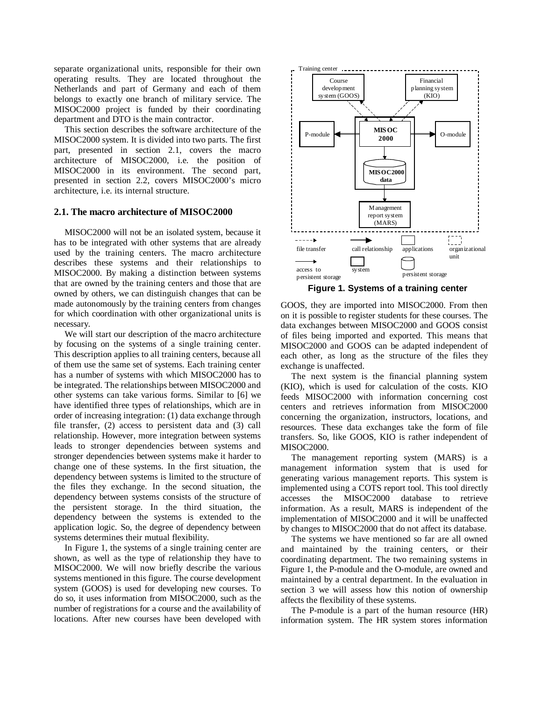separate organizational units, responsible for their own operating results. They are located throughout the Netherlands and part of Germany and each of them belongs to exactly one branch of military service. The MISOC2000 project is funded by their coordinating department and DTO is the main contractor.

This section describes the software architecture of the MISOC2000 system. It is divided into two parts. The first part, presented in section 2.1, covers the macro architecture of MISOC2000, i.e. the position of MISOC2000 in its environment. The second part, presented in section 2.2, covers MISOC2000's micro architecture, i.e. its internal structure.

#### **2.1. The macro architecture of MISOC2000**

MISOC2000 will not be an isolated system, because it has to be integrated with other systems that are already used by the training centers. The macro architecture describes these systems and their relationships to MISOC2000. By making a distinction between systems that are owned by the training centers and those that are owned by others, we can distinguish changes that can be made autonomously by the training centers from changes for which coordination with other organizational units is necessary.

We will start our description of the macro architecture by focusing on the systems of a single training center. This description applies to all training centers, because all of them use the same set of systems. Each training center has a number of systems with which MISOC2000 has to be integrated. The relationships between MISOC2000 and other systems can take various forms. Similar to [6] we have identified three types of relationships, which are in order of increasing integration: (1) data exchange through file transfer, (2) access to persistent data and (3) call relationship. However, more integration between systems leads to stronger dependencies between systems and stronger dependencies between systems make it harder to change one of these systems. In the first situation, the dependency between systems is limited to the structure of the files they exchange. In the second situation, the dependency between systems consists of the structure of the persistent storage. In the third situation, the dependency between the systems is extended to the application logic. So, the degree of dependency between systems determines their mutual flexibility.

In Figure 1, the systems of a single training center are shown, as well as the type of relationship they have to MISOC2000. We will now briefly describe the various systems mentioned in this figure. The course development system (GOOS) is used for developing new courses. To do so, it uses information from MISOC2000, such as the number of registrations for a course and the availability of locations. After new courses have been developed with



GOOS, they are imported into MISOC2000. From then on it is possible to register students for these courses. The data exchanges between MISOC2000 and GOOS consist of files being imported and exported. This means that MISOC2000 and GOOS can be adapted independent of each other, as long as the structure of the files they exchange is unaffected.

The next system is the financial planning system (KIO), which is used for calculation of the costs. KIO feeds MISOC2000 with information concerning cost centers and retrieves information from MISOC2000 concerning the organization, instructors, locations, and resources. These data exchanges take the form of file transfers. So, like GOOS, KIO is rather independent of MISOC2000.

The management reporting system (MARS) is a management information system that is used for generating various management reports. This system is implemented using a COTS report tool. This tool directly accesses the MISOC2000 database to retrieve information. As a result, MARS is independent of the implementation of MISOC2000 and it will be unaffected by changes to MISOC2000 that do not affect its database.

The systems we have mentioned so far are all owned and maintained by the training centers, or their coordinating department. The two remaining systems in Figure 1, the P-module and the O-module, are owned and maintained by a central department. In the evaluation in section 3 we will assess how this notion of ownership affects the flexibility of these systems.

The P-module is a part of the human resource (HR) information system. The HR system stores information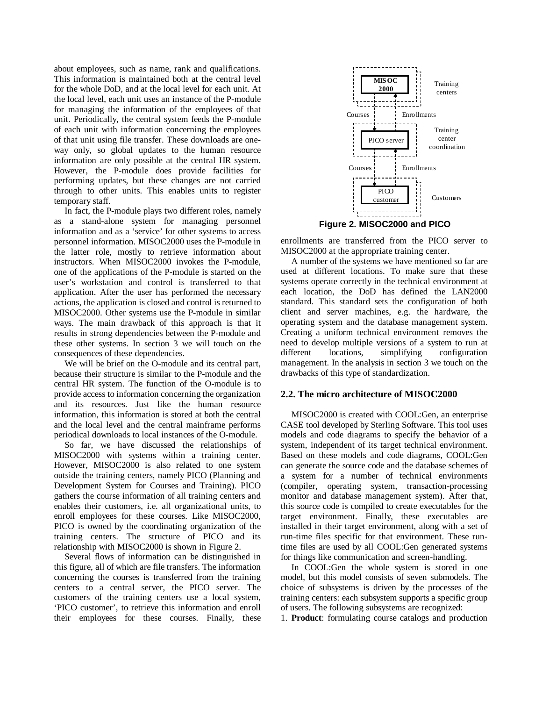about employees, such as name, rank and qualifications. This information is maintained both at the central level for the whole DoD, and at the local level for each unit. At the local level, each unit uses an instance of the P-module for managing the information of the employees of that unit. Periodically, the central system feeds the P-module of each unit with information concerning the employees of that unit using file transfer. These downloads are oneway only, so global updates to the human resource information are only possible at the central HR system. However, the P-module does provide facilities for performing updates, but these changes are not carried through to other units. This enables units to register temporary staff.

In fact, the P-module plays two different roles, namely as a stand-alone system for managing personnel information and as a 'service' for other systems to access personnel information. MISOC2000 uses the P-module in the latter role, mostly to retrieve information about instructors. When MISOC2000 invokes the P-module, one of the applications of the P-module is started on the user's workstation and control is transferred to that application. After the user has performed the necessary actions, the application is closed and control is returned to MISOC2000. Other systems use the P-module in similar ways. The main drawback of this approach is that it results in strong dependencies between the P-module and these other systems. In section 3 we will touch on the consequences of these dependencies.

We will be brief on the O-module and its central part, because their structure is similar to the P-module and the central HR system. The function of the O-module is to provide access to information concerning the organization and its resources. Just like the human resource information, this information is stored at both the central and the local level and the central mainframe performs periodical downloads to local instances of the O-module.

So far, we have discussed the relationships of MISOC2000 with systems within a training center. However, MISOC2000 is also related to one system outside the training centers, namely PICO (Planning and Development System for Courses and Training). PICO gathers the course information of all training centers and enables their customers, i.e. all organizational units, to enroll employees for these courses. Like MISOC2000, PICO is owned by the coordinating organization of the training centers. The structure of PICO and its relationship with MISOC2000 is shown in Figure 2.

Several flows of information can be distinguished in this figure, all of which are file transfers. The information concerning the courses is transferred from the training centers to a central server, the PICO server. The customers of the training centers use a local system, 'PICO customer', to retrieve this information and enroll their employees for these courses. Finally, these



enrollments are transferred from the PICO server to MISOC2000 at the appropriate training center.

A number of the systems we have mentioned so far are used at different locations. To make sure that these systems operate correctly in the technical environment at each location, the DoD has defined the LAN2000 standard. This standard sets the configuration of both client and server machines, e.g. the hardware, the operating system and the database management system. Creating a uniform technical environment removes the need to develop multiple versions of a system to run at different locations, simplifying configuration management. In the analysis in section 3 we touch on the drawbacks of this type of standardization.

## **2.2. The micro architecture of MISOC2000**

MISOC2000 is created with COOL:Gen, an enterprise CASE tool developed by Sterling Software. This tool uses models and code diagrams to specify the behavior of a system, independent of its target technical environment. Based on these models and code diagrams, COOL:Gen can generate the source code and the database schemes of a system for a number of technical environments (compiler, operating system, transaction-processing monitor and database management system). After that, this source code is compiled to create executables for the target environment. Finally, these executables are installed in their target environment, along with a set of run-time files specific for that environment. These runtime files are used by all COOL:Gen generated systems for things like communication and screen-handling.

In COOL:Gen the whole system is stored in one model, but this model consists of seven submodels. The choice of subsystems is driven by the processes of the training centers: each subsystem supports a specific group of users. The following subsystems are recognized:

1. **Product**: formulating course catalogs and production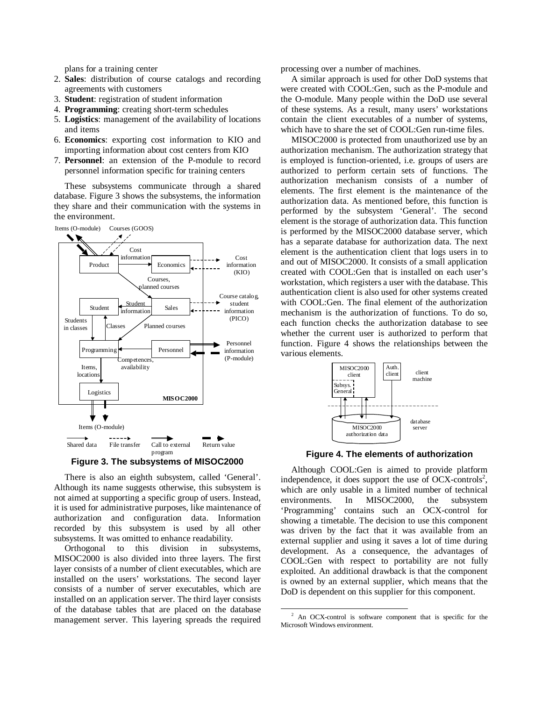plans for a training center

- 2. **Sales**: distribution of course catalogs and recording agreements with customers
- 3. **Student**: registration of student information
- 4. **Programming**: creating short-term schedules
- 5. **Logistics**: management of the availability of locations and items
- 6. **Economics**: exporting cost information to KIO and importing information about cost centers from KIO
- 7. **Personnel**: an extension of the P-module to record personnel information specific for training centers

These subsystems communicate through a shared database. Figure 3 shows the subsystems, the information they share and their communication with the systems in the environment.



**Figure 3. The subsystems of MISOC2000** 

There is also an eighth subsystem, called 'General'. Although its name suggests otherwise, this subsystem is not aimed at supporting a specific group of users. Instead, it is used for administrative purposes, like maintenance of authorization and configuration data. Information recorded by this subsystem is used by all other subsystems. It was omitted to enhance readability.

Orthogonal to this division in subsystems, MISOC2000 is also divided into three layers. The first layer consists of a number of client executables, which are installed on the users' workstations. The second layer consists of a number of server executables, which are installed on an application server. The third layer consists of the database tables that are placed on the database management server. This layering spreads the required processing over a number of machines.

A similar approach is used for other DoD systems that were created with COOL:Gen, such as the P-module and the O-module. Many people within the DoD use several of these systems. As a result, many users' workstations contain the client executables of a number of systems, which have to share the set of COOL:Gen run-time files.

MISOC2000 is protected from unauthorized use by an authorization mechanism. The authorization strategy that is employed is function-oriented, i.e. groups of users are authorized to perform certain sets of functions. The authorization mechanism consists of a number of elements. The first element is the maintenance of the authorization data. As mentioned before, this function is performed by the subsystem 'General'. The second element is the storage of authorization data. This function is performed by the MISOC2000 database server, which has a separate database for authorization data. The next element is the authentication client that logs users in to and out of MISOC2000. It consists of a small application created with COOL:Gen that is installed on each user's workstation, which registers a user with the database. This authentication client is also used for other systems created with COOL:Gen. The final element of the authorization mechanism is the authorization of functions. To do so, each function checks the authorization database to see whether the current user is authorized to perform that function. Figure 4 shows the relationships between the various elements.



**Figure 4. The elements of authorization** 

Although COOL:Gen is aimed to provide platform independence, it does support the use of OCX-controls<sup>2</sup>, which are only usable in a limited number of technical environments. In MISOC2000, the subsystem 'Programming' contains such an OCX-control for showing a timetable. The decision to use this component was driven by the fact that it was available from an external supplier and using it saves a lot of time during development. As a consequence, the advantages of COOL:Gen with respect to portability are not fully exploited. An additional drawback is that the component is owned by an external supplier, which means that the DoD is dependent on this supplier for this component.

 $\frac{1}{2}$  $2$  An OCX-control is software component that is specific for the Microsoft Windows environment.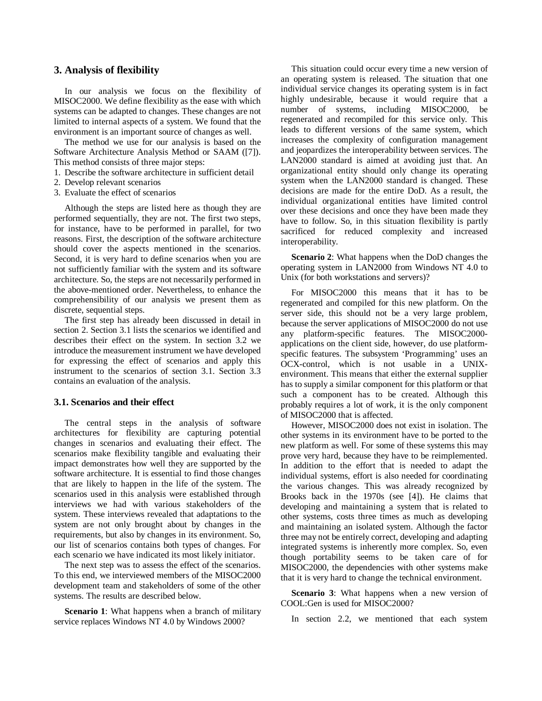# **3. Analysis of flexibility**

In our analysis we focus on the flexibility of MISOC2000. We define flexibility as the ease with which systems can be adapted to changes. These changes are not limited to internal aspects of a system. We found that the environment is an important source of changes as well.

The method we use for our analysis is based on the Software Architecture Analysis Method or SAAM ([7]). This method consists of three major steps:

- 1. Describe the software architecture in sufficient detail
- 2. Develop relevant scenarios
- 3. Evaluate the effect of scenarios

Although the steps are listed here as though they are performed sequentially, they are not. The first two steps, for instance, have to be performed in parallel, for two reasons. First, the description of the software architecture should cover the aspects mentioned in the scenarios. Second, it is very hard to define scenarios when you are not sufficiently familiar with the system and its software architecture. So, the steps are not necessarily performed in the above-mentioned order. Nevertheless, to enhance the comprehensibility of our analysis we present them as discrete, sequential steps.

The first step has already been discussed in detail in section 2. Section 3.1 lists the scenarios we identified and describes their effect on the system. In section 3.2 we introduce the measurement instrument we have developed for expressing the effect of scenarios and apply this instrument to the scenarios of section 3.1. Section 3.3 contains an evaluation of the analysis.

#### **3.1. Scenarios and their effect**

The central steps in the analysis of software architectures for flexibility are capturing potential changes in scenarios and evaluating their effect. The scenarios make flexibility tangible and evaluating their impact demonstrates how well they are supported by the software architecture. It is essential to find those changes that are likely to happen in the life of the system. The scenarios used in this analysis were established through interviews we had with various stakeholders of the system. These interviews revealed that adaptations to the system are not only brought about by changes in the requirements, but also by changes in its environment. So, our list of scenarios contains both types of changes. For each scenario we have indicated its most likely initiator.

The next step was to assess the effect of the scenarios. To this end, we interviewed members of the MISOC2000 development team and stakeholders of some of the other systems. The results are described below.

**Scenario 1**: What happens when a branch of military service replaces Windows NT 4.0 by Windows 2000?

This situation could occur every time a new version of an operating system is released. The situation that one individual service changes its operating system is in fact highly undesirable, because it would require that a number of systems, including MISOC2000, be regenerated and recompiled for this service only. This leads to different versions of the same system, which increases the complexity of configuration management and jeopardizes the interoperability between services. The LAN2000 standard is aimed at avoiding just that. An organizational entity should only change its operating system when the LAN2000 standard is changed. These decisions are made for the entire DoD. As a result, the individual organizational entities have limited control over these decisions and once they have been made they have to follow. So, in this situation flexibility is partly sacrificed for reduced complexity and increased interoperability.

**Scenario 2**: What happens when the DoD changes the operating system in LAN2000 from Windows NT 4.0 to Unix (for both workstations and servers)?

For MISOC2000 this means that it has to be regenerated and compiled for this new platform. On the server side, this should not be a very large problem, because the server applications of MISOC2000 do not use any platform-specific features. The MISOC2000 applications on the client side, however, do use platformspecific features. The subsystem 'Programming' uses an OCX-control, which is not usable in a UNIXenvironment. This means that either the external supplier has to supply a similar component for this platform or that such a component has to be created. Although this probably requires a lot of work, it is the only component of MISOC2000 that is affected.

However, MISOC2000 does not exist in isolation. The other systems in its environment have to be ported to the new platform as well. For some of these systems this may prove very hard, because they have to be reimplemented. In addition to the effort that is needed to adapt the individual systems, effort is also needed for coordinating the various changes. This was already recognized by Brooks back in the 1970s (see [4]). He claims that developing and maintaining a system that is related to other systems, costs three times as much as developing and maintaining an isolated system. Although the factor three may not be entirely correct, developing and adapting integrated systems is inherently more complex. So, even though portability seems to be taken care of for MISOC2000, the dependencies with other systems make that it is very hard to change the technical environment.

**Scenario 3**: What happens when a new version of COOL:Gen is used for MISOC2000?

In section 2.2, we mentioned that each system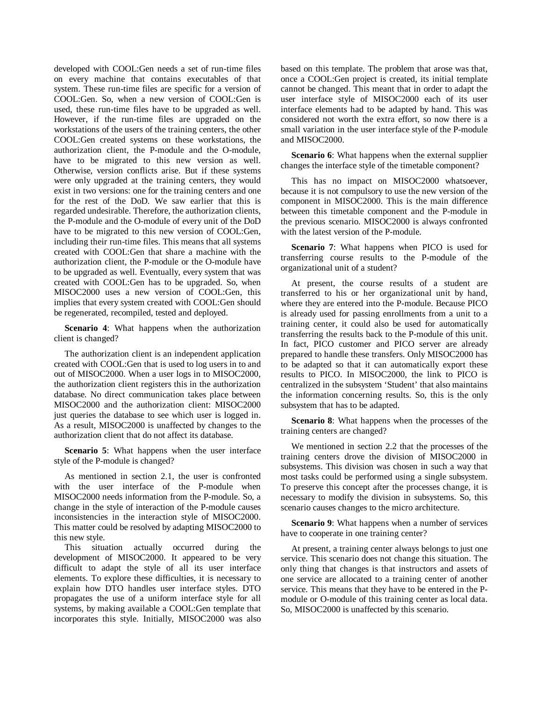developed with COOL:Gen needs a set of run-time files on every machine that contains executables of that system. These run-time files are specific for a version of COOL:Gen. So, when a new version of COOL:Gen is used, these run-time files have to be upgraded as well. However, if the run-time files are upgraded on the workstations of the users of the training centers, the other COOL:Gen created systems on these workstations, the authorization client, the P-module and the O-module, have to be migrated to this new version as well. Otherwise, version conflicts arise. But if these systems were only upgraded at the training centers, they would exist in two versions: one for the training centers and one for the rest of the DoD. We saw earlier that this is regarded undesirable. Therefore, the authorization clients, the P-module and the O-module of every unit of the DoD have to be migrated to this new version of COOL:Gen, including their run-time files. This means that all systems created with COOL:Gen that share a machine with the authorization client, the P-module or the O-module have to be upgraded as well. Eventually, every system that was created with COOL:Gen has to be upgraded. So, when MISOC2000 uses a new version of COOL:Gen, this implies that every system created with COOL:Gen should be regenerated, recompiled, tested and deployed.

**Scenario 4**: What happens when the authorization client is changed?

The authorization client is an independent application created with COOL:Gen that is used to log users in to and out of MISOC2000. When a user logs in to MISOC2000, the authorization client registers this in the authorization database. No direct communication takes place between MISOC2000 and the authorization client: MISOC2000 just queries the database to see which user is logged in. As a result, MISOC2000 is unaffected by changes to the authorization client that do not affect its database.

**Scenario 5**: What happens when the user interface style of the P-module is changed?

As mentioned in section 2.1, the user is confronted with the user interface of the P-module when MISOC2000 needs information from the P-module. So, a change in the style of interaction of the P-module causes inconsistencies in the interaction style of MISOC2000. This matter could be resolved by adapting MISOC2000 to this new style.

This situation actually occurred during the development of MISOC2000. It appeared to be very difficult to adapt the style of all its user interface elements. To explore these difficulties, it is necessary to explain how DTO handles user interface styles. DTO propagates the use of a uniform interface style for all systems, by making available a COOL:Gen template that incorporates this style. Initially, MISOC2000 was also based on this template. The problem that arose was that, once a COOL:Gen project is created, its initial template cannot be changed. This meant that in order to adapt the user interface style of MISOC2000 each of its user interface elements had to be adapted by hand. This was considered not worth the extra effort, so now there is a small variation in the user interface style of the P-module and MISOC2000.

**Scenario 6**: What happens when the external supplier changes the interface style of the timetable component?

This has no impact on MISOC2000 whatsoever, because it is not compulsory to use the new version of the component in MISOC2000. This is the main difference between this timetable component and the P-module in the previous scenario. MISOC2000 is always confronted with the latest version of the P-module.

**Scenario 7**: What happens when PICO is used for transferring course results to the P-module of the organizational unit of a student?

At present, the course results of a student are transferred to his or her organizational unit by hand, where they are entered into the P-module. Because PICO is already used for passing enrollments from a unit to a training center, it could also be used for automatically transferring the results back to the P-module of this unit. In fact, PICO customer and PICO server are already prepared to handle these transfers. Only MISOC2000 has to be adapted so that it can automatically export these results to PICO. In MISOC2000, the link to PICO is centralized in the subsystem 'Student' that also maintains the information concerning results. So, this is the only subsystem that has to be adapted.

**Scenario 8**: What happens when the processes of the training centers are changed?

We mentioned in section 2.2 that the processes of the training centers drove the division of MISOC2000 in subsystems. This division was chosen in such a way that most tasks could be performed using a single subsystem. To preserve this concept after the processes change, it is necessary to modify the division in subsystems. So, this scenario causes changes to the micro architecture.

**Scenario 9**: What happens when a number of services have to cooperate in one training center?

At present, a training center always belongs to just one service. This scenario does not change this situation. The only thing that changes is that instructors and assets of one service are allocated to a training center of another service. This means that they have to be entered in the Pmodule or O-module of this training center as local data. So, MISOC2000 is unaffected by this scenario.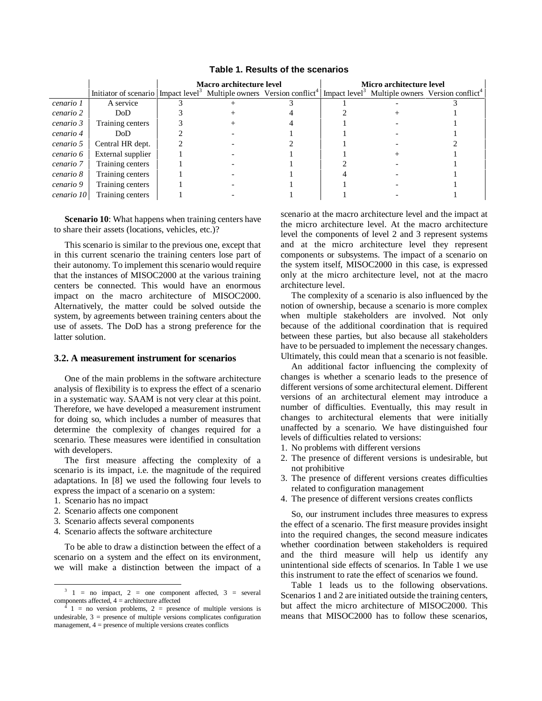# **Table 1. Results of the scenarios**

|            |                                                                                                                                                                           | Macro architecture level |  |  | Micro architecture level |  |  |
|------------|---------------------------------------------------------------------------------------------------------------------------------------------------------------------------|--------------------------|--|--|--------------------------|--|--|
|            | Initiator of scenario   Impact level <sup>3</sup> Multiple owners Version conflict <sup>4</sup>   Impact level <sup>3</sup> Multiple owners Version conflict <sup>4</sup> |                          |  |  |                          |  |  |
| cenario 1  | A service                                                                                                                                                                 |                          |  |  |                          |  |  |
| cenario 2  | DoD                                                                                                                                                                       |                          |  |  |                          |  |  |
| cenario 3  | Training centers                                                                                                                                                          |                          |  |  |                          |  |  |
| cenario 4  | DoD                                                                                                                                                                       |                          |  |  |                          |  |  |
| cenario 5  | Central HR dept.                                                                                                                                                          |                          |  |  |                          |  |  |
| cenario 6  | External supplier                                                                                                                                                         |                          |  |  |                          |  |  |
| cenario 7  | Training centers                                                                                                                                                          |                          |  |  |                          |  |  |
| cenario 8  | Training centers                                                                                                                                                          |                          |  |  |                          |  |  |
| cenario 9  | Training centers                                                                                                                                                          |                          |  |  |                          |  |  |
| cenario 10 | Training centers                                                                                                                                                          |                          |  |  |                          |  |  |

**Scenario 10**: What happens when training centers have to share their assets (locations, vehicles, etc.)?

This scenario is similar to the previous one, except that in this current scenario the training centers lose part of their autonomy. To implement this scenario would require that the instances of MISOC2000 at the various training centers be connected. This would have an enormous impact on the macro architecture of MISOC2000. Alternatively, the matter could be solved outside the system, by agreements between training centers about the use of assets. The DoD has a strong preference for the latter solution.

### **3.2. A measurement instrument for scenarios**

One of the main problems in the software architecture analysis of flexibility is to express the effect of a scenario in a systematic way. SAAM is not very clear at this point. Therefore, we have developed a measurement instrument for doing so, which includes a number of measures that determine the complexity of changes required for a scenario. These measures were identified in consultation with developers.

The first measure affecting the complexity of a scenario is its impact, i.e. the magnitude of the required adaptations. In [8] we used the following four levels to express the impact of a scenario on a system:

- 1. Scenario has no impact
- 2. Scenario affects one component
- 3. Scenario affects several components
- 4. Scenario affects the software architecture

To be able to draw a distinction between the effect of a scenario on a system and the effect on its environment, we will make a distinction between the impact of a

scenario at the macro architecture level and the impact at the micro architecture level. At the macro architecture level the components of level 2 and 3 represent systems and at the micro architecture level they represent components or subsystems. The impact of a scenario on the system itself, MISOC2000 in this case, is expressed only at the micro architecture level, not at the macro architecture level.

The complexity of a scenario is also influenced by the notion of ownership, because a scenario is more complex when multiple stakeholders are involved. Not only because of the additional coordination that is required between these parties, but also because all stakeholders have to be persuaded to implement the necessary changes. Ultimately, this could mean that a scenario is not feasible.

An additional factor influencing the complexity of changes is whether a scenario leads to the presence of different versions of some architectural element. Different versions of an architectural element may introduce a number of difficulties. Eventually, this may result in changes to architectural elements that were initially unaffected by a scenario. We have distinguished four levels of difficulties related to versions:

- 1. No problems with different versions
- 2. The presence of different versions is undesirable, but not prohibitive
- 3. The presence of different versions creates difficulties related to configuration management
- 4. The presence of different versions creates conflicts

So, our instrument includes three measures to express the effect of a scenario. The first measure provides insight into the required changes, the second measure indicates whether coordination between stakeholders is required and the third measure will help us identify any unintentional side effects of scenarios. In Table 1 we use this instrument to rate the effect of scenarios we found.

Table 1 leads us to the following observations. Scenarios 1 and 2 are initiated outside the training centers, but affect the micro architecture of MISOC2000. This means that MISOC2000 has to follow these scenarios,

 $\frac{3}{1}$  = no impact, 2 = one component affected, 3 = several components affected,  $4 =$  architecture affected

 <sup>1 =</sup> no version problems, 2 = presence of multiple versions is undesirable,  $3 =$  presence of multiple versions complicates configuration management,  $4$  = presence of multiple versions creates conflicts